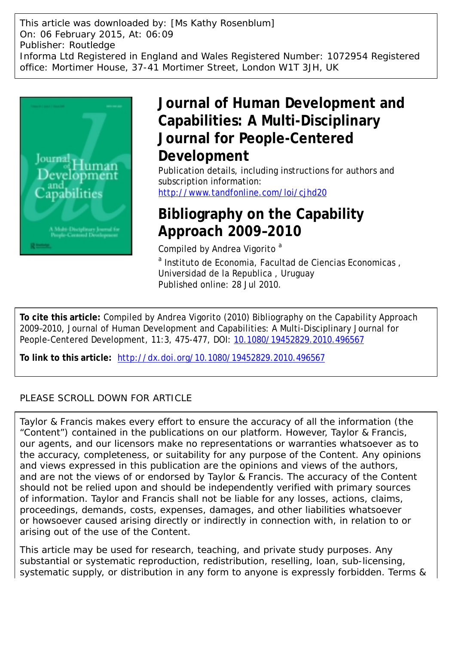This article was downloaded by: [Ms Kathy Rosenblum] On: 06 February 2015, At: 06:09 Publisher: Routledge Informa Ltd Registered in England and Wales Registered Number: 1072954 Registered office: Mortimer House, 37-41 Mortimer Street, London W1T 3JH, UK



## **Journal of Human Development and Capabilities: A Multi-Disciplinary Journal for People-Centered Development**

Publication details, including instructions for authors and subscription information: <http://www.tandfonline.com/loi/cjhd20>

### **Bibliography on the Capability Approach 2009–2010**

Compiled by Andrea Vigorito<sup>a</sup>

<sup>a</sup> Instituto de Economia, Facultad de Ciencias Economicas, Universidad de la Republica , Uruguay Published online: 28 Jul 2010.

**To cite this article:** Compiled by Andrea Vigorito (2010) Bibliography on the Capability Approach 2009–2010, Journal of Human Development and Capabilities: A Multi-Disciplinary Journal for People-Centered Development, 11:3, 475-477, DOI: [10.1080/19452829.2010.496567](http://www.tandfonline.com/action/showCitFormats?doi=10.1080/19452829.2010.496567)

**To link to this article:** <http://dx.doi.org/10.1080/19452829.2010.496567>

### PLEASE SCROLL DOWN FOR ARTICLE

Taylor & Francis makes every effort to ensure the accuracy of all the information (the "Content") contained in the publications on our platform. However, Taylor & Francis, our agents, and our licensors make no representations or warranties whatsoever as to the accuracy, completeness, or suitability for any purpose of the Content. Any opinions and views expressed in this publication are the opinions and views of the authors, and are not the views of or endorsed by Taylor & Francis. The accuracy of the Content should not be relied upon and should be independently verified with primary sources of information. Taylor and Francis shall not be liable for any losses, actions, claims, proceedings, demands, costs, expenses, damages, and other liabilities whatsoever or howsoever caused arising directly or indirectly in connection with, in relation to or arising out of the use of the Content.

This article may be used for research, teaching, and private study purposes. Any substantial or systematic reproduction, redistribution, reselling, loan, sub-licensing, systematic supply, or distribution in any form to anyone is expressly forbidden. Terms &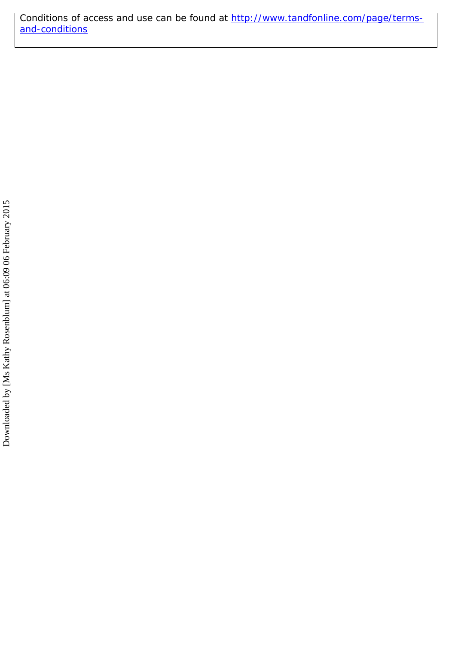Conditions of access and use can be found at [http://www.tandfonline.com/page/terms](http://www.tandfonline.com/page/terms-and-conditions)[and-conditions](http://www.tandfonline.com/page/terms-and-conditions)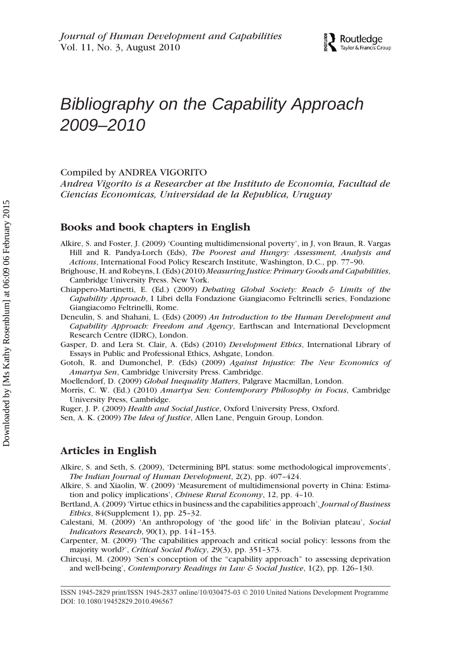

# Bibliography on the Capability Approach 2009–2010

Compiled by ANDREA VIGORITO

*Andrea Vigorito is a Researcher at the Instituto de Economia, Facultad de Ciencias Economicas, Universidad de la Republica, Uruguay*

#### **Books and book chapters in English**

- Alkire, S. and Foster, J. (2009) 'Counting multidimensional poverty', in J, von Braun, R. Vargas Hill and R. Pandya-Lorch (Eds), *The Poorest and Hungry: Assessment, Analysis and Actions*, International Food Policy Research Institute, Washington, D.C., pp. 77–90.
- Brighouse, H. and Robeyns, I. (Eds) (2010) *Measuring Justice: Primary Goods and Capabilities*, Cambridge University Press. New York.
- Chiappero-Martinetti, E. (Ed.) (2009) *Debating Global Society: Reach & Limits of the Capability Approach*, I Libri della Fondazione Giangiacomo Feltrinelli series, Fondazione Giangiacomo Feltrinelli, Rome.
- Deneulin, S. and Shahani, L. (Eds) (2009) *An Introduction to the Human Development and Capability Approach: Freedom and Agency*, Earthscan and International Development Research Centre (IDRC), London.
- Gasper, D. and Lera St. Clair, A. (Eds) (2010) *Development Ethics*, International Library of Essays in Public and Professional Ethics, Ashgate, London.
- Gotoh, R. and Dumonchel, P. (Eds) (2009) *Against Injustice: The New Economics of Amartya Sen*, Cambridge University Press. Cambridge.
- Moellendorf, D. (2009) *Global Inequality Matters*, Palgrave Macmillan, London.
- Morris, C. W. (Ed.) (2010) *Amartya Sen: Contemporary Philosophy in Focus*, Cambridge University Press, Cambridge.
- Ruger, J. P. (2009) *Health and Social Justice*, Oxford University Press, Oxford.
- Sen, A. K. (2009) *The Idea of Justice*, Allen Lane, Penguin Group, London.

#### **Articles in English**

- Alkire, S. and Seth, S. (2009), 'Determining BPL status: some methodological improvements', *The Indian Journal of Human Development*, 2(2), pp. 407–424.
- Alkire, S. and Xiaolin, W. (2009) 'Measurement of multidimensional poverty in China: Estimation and policy implications', *Chinese Rural Economy*, 12, pp. 4–10.
- Bertland, A. (2009) 'Virtue ethics in business and the capabilities approach', *Journal of Business Ethics*, 84(Supplement 1), pp. 25–32.
- Calestani, M. (2009) 'An anthropology of 'the good life' in the Bolivian plateau', *Social Indicators Research*, 90(1), pp. 141–153.
- Carpenter, M. (2009) 'The capabilities approach and critical social policy: lessons from the majority world?', *Critical Social Policy*, 29(3), pp. 351–373.
- Chircuşi, M. (2009) 'Sen's conception of the "capability approach" to assessing deprivation and well-being', *Contemporary Readings in Law & Social Justice*, 1(2), pp. 126–130.

ISSN 1945-2829 print/ISSN 1945-2837 online/10/030475-03 © 2010 United Nations Development Programme DOI: 10.1080/19452829.2010.496567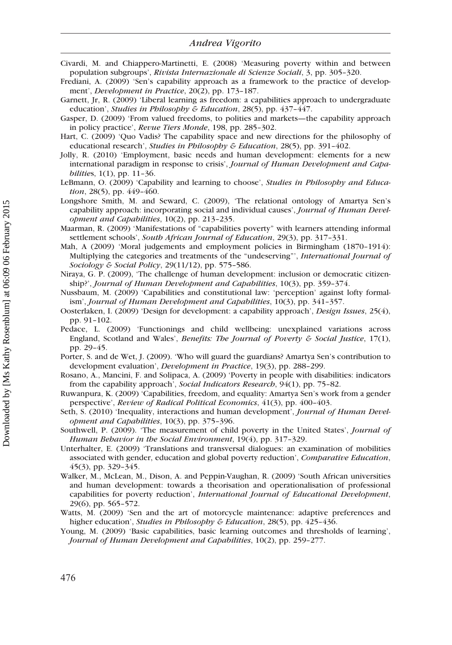- Civardi, M. and Chiappero-Martinetti, E. (2008) 'Measuring poverty within and between population subgroups', *Rivista Internazionale di Scienze Sociali*, 3, pp. 305–320.
- Frediani, A. (2009) 'Sen's capability approach as a framework to the practice of development', *Development in Practice*, 20(2), pp. 173–187.
- Garnett, Jr, R. (2009) 'Liberal learning as freedom: a capabilities approach to undergraduate education', *Studies in Philosophy & Education*, 28(5), pp. 437–447.
- Gasper, D. (2009) 'From valued freedoms, to polities and markets—the capability approach in policy practice', *Revue Tiers Monde*, 198, pp. 285–302.
- Hart, C. (2009) 'Quo Vadis? The capability space and new directions for the philosophy of educational research', *Studies in Philosophy & Education*, 28(5), pp. 391–402.
- Jolly, R. (2010) 'Employment, basic needs and human development: elements for a new international paradigm in response to crisis', *Journal of Human Development and Capabilitie*s, 1(1), pp. 11–36.
- LeBmann, O. (2009) 'Capability and learning to choose', *Studies in Philosophy and Education*, 28(5), pp. 449–460.
- Longshore Smith, M. and Seward, C. (2009), 'The relational ontology of Amartya Sen's capability approach: incorporating social and individual causes', *Journal of Human Development and Capabilities*, 10(2), pp. 213–235.
- Maarman, R. (2009) 'Manifestations of "capabilities poverty" with learners attending informal settlement schools', *South African Journal of Education*, 29(3), pp. 317–331.
- Mah, A (2009) 'Moral judgements and employment policies in Birmingham (1870–1914): Multiplying the categories and treatments of the "undeserving"', *International Journal of Sociology & Social Policy*, 29(11/12), pp. 575–586.
- Niraya, G. P. (2009), 'The challenge of human development: inclusion or democratic citizenship?', *Journal of Human Development and Capabilities*, 10(3), pp. 359–374.
- Nussbaum, M. (2009) 'Capabilities and constitutional law: 'perception' against lofty formalism', *Journal of Human Development and Capabilities*, 10(3), pp. 341–357.
- Oosterlaken, I. (2009) 'Design for development: a capability approach', *Design Issues*, 25(4), pp. 91–102.
- Pedace, L. (2009) 'Functionings and child wellbeing: unexplained variations across England, Scotland and Wales', *Benefits: The Journal of Poverty & Social Justice*, 17(1), pp. 29–45.
- Porter, S. and de Wet, J. (2009). 'Who will guard the guardians? Amartya Sen's contribution to development evaluation', *Development in Practice*, 19(3), pp. 288–299.
- Rosano, A., Mancini, F. and Solipaca, A. (2009) 'Poverty in people with disabilities: indicators from the capability approach', *Social Indicators Research*, 94(1), pp. 75–82.
- Ruwanpura, K. (2009) 'Capabilities, freedom, and equality: Amartya Sen's work from a gender perspective', *Review of Radical Political Economics*, 41(3), pp. 400–403.
- Seth, S. (2010) 'Inequality, interactions and human development', *Journal of Human Development and Capabilities*, 10(3), pp. 375–396.
- Southwell, P. (2009). 'The measurement of child poverty in the United States', *Journal of Human Behavior in the Social Environment*, 19(4), pp. 317–329.
- Unterhalter, E. (2009) 'Translations and transversal dialogues: an examination of mobilities associated with gender, education and global poverty reduction', *Comparative Education*, 45(3), pp. 329–345.
- Walker, M., McLean, M., Dison, A. and Peppin-Vaughan, R. (2009) 'South African universities and human development: towards a theorisation and operationalisation of professional capabilities for poverty reduction', *International Journal of Educational Development*, 29(6), pp. 565–572.
- Watts, M. (2009) 'Sen and the art of motorcycle maintenance: adaptive preferences and higher education', *Studies in Philosophy & Education*, 28(5), pp. 425–436.
- Young, M. (2009) 'Basic capabilities, basic learning outcomes and thresholds of learning', *Journal of Human Development and Capabilities*, 10(2), pp. 259–277.